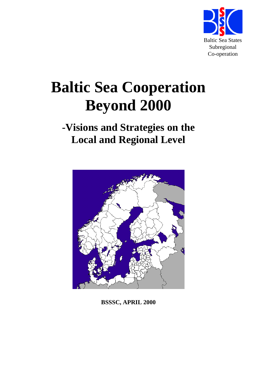

# **Baltic Sea Cooperation Beyond 2000**

## **-Visions and Strategies on the Local and Regional Level**



**BSSSC, APRIL 2000**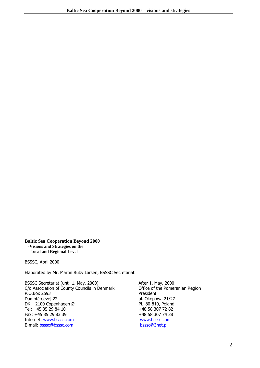**Baltic Sea Cooperation Beyond 2000 -Visions and Strategies on the Local and Regional Level** 

BSSSC, April 2000

Elaborated by Mr. Martin Ruby Larsen, BSSSC Secretariat

BSSSC Secretariat (until 1. May, 2000) After 1. May, 2000: C/o Association of County Councils in Denmark Office of the Pomeranian Region<br>P.O.Box 2593 President P.O.Box 2593<br>Dampfćrgevej 22 DK – 2100 Copenhagen Ø PL-80-810, Poland Tel: +45 35 29 84 10<br>Fax: +45 35 29 83 39<br>+48 58 307 74 38 Fax: +45 35 29 83 39 Internet: www.bsssc.com www.bsssc.com E-mail: bsssc@bsssc.com bsssc@3net.pl

ul. Okopowa 21/27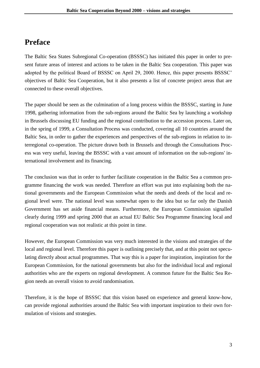## **Preface**

The Baltic Sea States Subregional Co-operation (BSSSC) has initiated this paper in order to present future areas of interest and actions to be taken in the Baltic Sea cooperation. This paper was adopted by the political Board of BSSSC on April 29, 2000. Hence, this paper presents BSSSC' objectives of Baltic Sea Cooperation, but it also presents a list of concrete project areas that are connected to these overall objectives.

The paper should be seen as the culmination of a long process within the BSSSC, starting in June 1998, gathering information from the sub-regions around the Baltic Sea by launching a workshop in Brussels discussing EU funding and the regional contribution to the accession process. Later on, in the spring of 1999, a Consultation Process was conducted, covering all 10 countries around the Baltic Sea, in order to gather the experiences and perspectives of the sub-regions in relation to interregional co-operation. The picture drawn both in Brussels and through the Consultations Process was very useful, leaving the BSSSC with a vast amount of information on the sub-regions' international involvement and its financing.

The conclusion was that in order to further facilitate cooperation in the Baltic Sea a common programme financing the work was needed. Therefore an effort was put into explaining both the national governments and the European Commission what the needs and deeds of the local and regional level were. The national level was somewhat open to the idea but so far only the Danish Government has set aside financial means. Furthermore, the European Commission signalled clearly during 1999 and spring 2000 that an actual EU Baltic Sea Programme financing local and regional cooperation was not realistic at this point in time.

However, the European Commission was very much interested in the visions and strategies of the local and regional level. Therefore this paper is outlining precisely that, and at this point not speculating directly about actual programmes. That way this is a paper for inspiration, inspiration for the European Commission, for the national governments but also for the individual local and regional authorities who are the experts on regional development. A common future for the Baltic Sea Region needs an overall vision to avoid randomisation.

Therefore, it is the hope of BSSSC that this vision based on experience and general know-how, can provide regional authorities around the Baltic Sea with important inspiration to their own formulation of visions and strategies.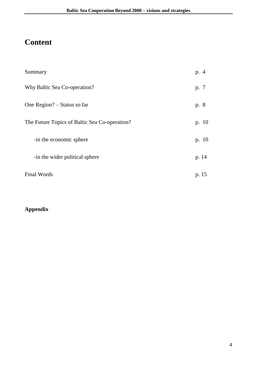## **Content**

| Summary                                       | p. 4  |
|-----------------------------------------------|-------|
| Why Baltic Sea Co-operation?                  | p. 7  |
| One Region? – Status so far                   | p. 8  |
| The Future Topics of Baltic Sea Co-operation? | p. 10 |
| -in the economic sphere                       | p. 10 |
| -in the wider political sphere                | p. 14 |
| <b>Final Words</b>                            | p. 15 |

## **Appendix**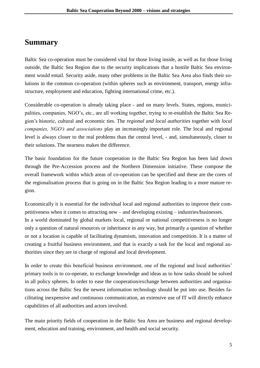## **Summary**

Baltic Sea co-operation must be considered vital for those living inside, as well as for those living outside, the Baltic Sea Region due to the security implications that a hostile Baltic Sea environment would entail. Security aside, many other problems in the Baltic Sea Area also finds their solutions in the common co-operation (within spheres such as environment, transport, energy infrastructure, employment and education, fighting international crime, etc.).

Considerable co-operation is already taking place - and on many levels. States, regions, municipalities, companies, NGO's, etc., are all working together, trying to re-establish the Baltic Sea Region's historic, cultural and economic ties. The *regional and local authorities* together with *local companies, NGO's and associations* play an increasingly important role. The local and regional level is always closer to the real problems than the central level, - and, simultaneously, closer to their solutions. The nearness makes the difference.

The basic foundation for the future cooperation in the Baltic Sea Region has been laid down through the Pre-Accession process and the Northern Dimension initiative. These compose the overall framework within which areas of co-operation can be specified and these are the cores of the regionalisation process that is going on in the Baltic Sea Region leading to a more mature region.

Economically it is essential for the individual local and regional authorities to improve their competitiveness when it comes to attracting new – and developing existing – industries/businesses. In a world dominated by global markets local, regional or national competitiveness is no longer only a question of natural resources or inheritance in any way, but primarily a question of whether or not a location is capable of facilitating dynamism, innovation and competition. It is a matter of creating a fruitful business environment, and that is exactly a task for the local and regional authorities since they are in charge of regional and local development.

In order to create this beneficial business environment, one of the regional and local authorities' primary tools is to co-operate, to exchange knowledge and ideas as to how tasks should be solved in all policy spheres. In order to ease the cooperation/exchange between authorities and organisations across the Baltic Sea the newest information technology should be put into use. Besides facilitating inexpensive and continuous communication, an extensive use of IT will directly enhance capabilities of all authorities and actors involved.

The main priority fields of cooperation in the Baltic Sea Area are business and regional development, education and training, environment, and health and social security.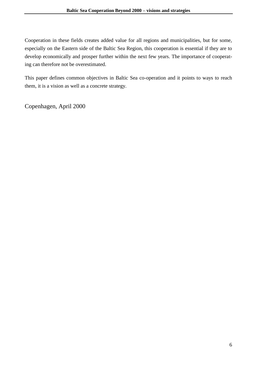Cooperation in these fields creates added value for all regions and municipalities, but for some, especially on the Eastern side of the Baltic Sea Region, this cooperation is essential if they are to develop economically and prosper further within the next few years. The importance of cooperating can therefore not be overestimated.

This paper defines common objectives in Baltic Sea co-operation and it points to ways to reach them, it is a vision as well as a concrete strategy.

Copenhagen, April 2000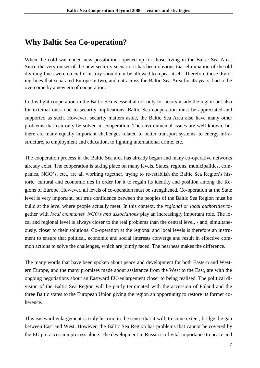## **Why Baltic Sea Co-operation?**

When the cold war ended new possibilities opened up for those living in the Baltic Sea Area. Since the very outset of the new security scenario it has been obvious that elimination of the old dividing lines were crucial if history should not be allowed to repeat itself. Therefore those dividing lines that separated Europe in two, and cut across the Baltic Sea Area for 45 years, had to be overcome by a new era of cooperation.

In this light cooperation in the Baltic Sea is essential not only for actors inside the region but also for external ones due to security implications. Baltic Sea cooperation must be appreciated and supported as such. However, security matters aside, the Baltic Sea Area also have many other problems that can only be solved in cooperation. The environmental issues are well known, but there are many equally important challenges related to better transport systems, to energy infrastructure, to employment and education, to fighting international crime, etc.

The cooperation process in the Baltic Sea area has already begun and many co-operative networks already exist. The cooperation is taking place on many levels. States, regions, municipalities, companies, NGO's, etc., are all working together, trying to re-establish the Baltic Sea Region's historic, cultural and economic ties in order for it to regain its identity and position among the Regions of Europe. However, all levels of co-operation must be strengthened. Co-operation at the State level is very important, but true confidence between the peoples of the Baltic Sea Region must be build at the level where people actually meet. In this context, the *regional or local authorities* together with *local companies, NGO's and associations* play an increasingly important role. The local and regional level is always closer to the real problems than the central level, - and, simultaneously, closer to their solutions. Co-operation at the regional and local levels is therefore an instrument to ensure that political, economic and social interests converge and result in effective common actions to solve the challenges, which are jointly faced. The nearness makes the difference.

The many words that have been spoken about peace and development for both Eastern and Western Europe, and the many promises made about assistance from the West to the East, are with the ongoing negotiations about an Eastward EU-enlargement closer to being realised. The political division of the Baltic Sea Region will be partly terminated with the accession of Poland and the three Baltic states to the European Union giving the region an opportunity to restore its former coherence.

This eastward enlargement is truly historic in the sense that it will, to some extent, bridge the gap between East and West. However, the Baltic Sea Region has problems that cannot be covered by the EU pre-accession process alone. The development in Russia is of vital importance to peace and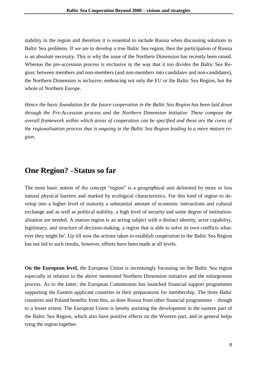stability in the region and therefore it is essential to include Russia when discussing solutions to Baltic Sea problems. If we are to develop a true Baltic Sea region, then the participation of Russia is an absolute necessity. This is why the issue of the Northern Dimension has recently been raised. Whereas the pre-accession process is exclusive in the way that it too divides the Baltic Sea Region; between members and non-members (and non-members into candidates and non-candidates), the Northern Dimension is inclusive, embracing not only the EU or the Baltic Sea Region, but the whole of Northern Europe.

*Hence the basic foundation for the future cooperation in the Baltic Sea Region has been laid down through the Pre-Accession process and the Northern Dimension initiative. These compose the overall framework within which areas of cooperation can be specified and these are the cores of the regionalisation process that is ongoing in the Baltic Sea Region leading to a more mature region.* 

## **One Region? –Status so far**

The most basic notion of the concept "region" is a geographical unit delimited by more or less natural physical barriers and marked by ecological characteristics. For this kind of region to develop into a higher level of maturity a substantial amount of economic interactions and cultural exchange and as well as political stability, a high level of security and some degree of institutionalisation are needed. A mature region is an acting subject with a distinct identity, actor capability, legitimacy, and structure of decision-making, a region that is able to solve its own conflicts whatever they might be<sup>i</sup>. Up till now the actions taken to establish cooperation in the Baltic Sea Region has not led to such results, however, efforts have been made at all levels.

**On the European level,** the European Union is increasingly focussing on the Baltic Sea region especially in relation to the above mentioned Northern Dimension initiative and the enlargement process. As to the latter, the European Commission has launched financial support programmes supporting the Eastern applicant countries in their preparations for membership. The three Baltic countries and Poland benefits from this, as does Russia from other financial programmes – though to a lesser extent. The European Union is hereby assisting the development in the eastern part of the Baltic Sea Region, which also have positive effects on the Western part, and in general helps tying the region together.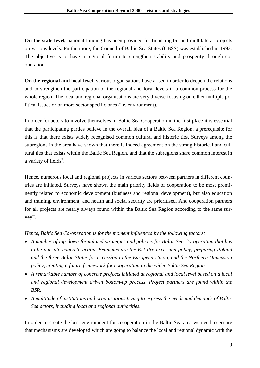**On the state level,** national funding has been provided for financing bi- and multilateral projects on various levels. Furthermore, the Council of Baltic Sea States (CBSS) was established in 1992. The objective is to have a regional forum to strengthen stability and prosperity through cooperation.

**On the regional and local level,** various organisations have arisen in order to deepen the relations and to strengthen the participation of the regional and local levels in a common process for the whole region. The local and regional organisations are very diverse focusing on either multiple political issues or on more sector specific ones (i.e. environment).

In order for actors to involve themselves in Baltic Sea Cooperation in the first place it is essential that the participating parties believe in the overall idea of a Baltic Sea Region, a prerequisite for this is that there exists widely recognised common cultural and historic ties. Surveys among the subregions in the area have shown that there is indeed agreement on the strong historical and cultural ties that exists within the Baltic Sea Region, and that the subregions share common interest in a variety of fields<sup>ii</sup>.

Hence, numerous local and regional projects in various sectors between partners in different countries are initiated. Surveys have shown the main priority fields of cooperation to be most prominently related to economic development (business and regional development), but also education and training, environment, and health and social security are prioritised. And cooperation partners for all projects are nearly always found within the Baltic Sea Region according to the same survey iii .

#### *Hence, Baltic Sea Co-operation is for the moment influenced by the following factors:*

- *A number of top-down formulated strategies and policies for Baltic Sea Co-operation that has to be put into concrete action. Examples are the EU Pre-accession policy, preparing Poland and the three Baltic States for accession to the European Union, and the Northern Dimension policy, creating a future framework for cooperation in the wider Baltic Sea Region.*
- *A remarkable number of concrete projects initiated at regional and local level based on a local and regional development driven bottom-up process. Project partners are found within the BSR.*
- *A multitude of institutions and organisations trying to express the needs and demands of Baltic Sea actors, including local and regional authorities.*

In order to create the best environment for co-operation in the Baltic Sea area we need to ensure that mechanisms are developed which are going to balance the local and regional dynamic with the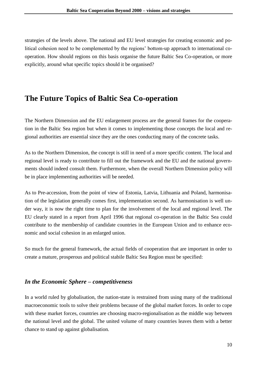strategies of the levels above. The national and EU level strategies for creating economic and political cohesion need to be complemented by the regions' bottom-up approach to international cooperation. How should regions on this basis organise the future Baltic Sea Co-operation, or more explicitly, around what specific topics should it be organised?

## **The Future Topics of Baltic Sea Co-operation**

The Northern Dimension and the EU enlargement process are the general frames for the cooperation in the Baltic Sea region but when it comes to implementing those concepts the local and regional authorities are essential since they are the ones conducting many of the concrete tasks.

As to the Northern Dimension, the concept is still in need of a more specific content. The local and regional level is ready to contribute to fill out the framework and the EU and the national governments should indeed consult them. Furthermore, when the overall Northern Dimension policy will be in place implementing authorities will be needed.

As to Pre-accession, from the point of view of Estonia, Latvia, Lithuania and Poland, harmonisation of the legislation generally comes first, implementation second. As harmonisation is well under way, it is now the right time to plan for the involvement of the local and regional level. The EU clearly stated in a report from April 1996 that regional co-operation in the Baltic Sea could contribute to the membership of candidate countries in the European Union and to enhance economic and social cohesion in an enlarged union.

So much for the general framework, the actual fields of cooperation that are important in order to create a mature, prosperous and political stabile Baltic Sea Region must be specified:

#### *In the Economic Sphere – competitiveness*

In a world ruled by globalisation, the nation-state is restrained from using many of the traditional macroeconomic tools to solve their problems because of the global market forces. In order to cope with these market forces, countries are choosing macro-regionalisation as the middle way between the national level and the global. The united volume of many countries leaves them with a better chance to stand up against globalisation.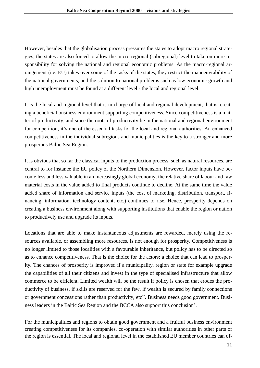However, besides that the globalisation process pressures the states to adopt macro regional strategies, the states are also forced to allow the micro regional (subregional) level to take on more responsibility for solving the national and regional economic problems. As the macro-regional arrangement (i.e. EU) takes over some of the tasks of the states, they restrict the manoeuvrability of the national governments, and the solution to national problems such as low economic growth and high unemployment must be found at a different level - the local and regional level.

It is the local and regional level that is in charge of local and regional development, that is, creating a beneficial business environment supporting competitiveness. Since competitiveness is a matter of productivity, and since the roots of productivity lie in the national and regional environment for competition, it's one of the essential tasks for the local and regional authorities. An enhanced competitiveness in the individual subregions and municipalities is the key to a stronger and more prosperous Baltic Sea Region.

It is obvious that so far the classical inputs to the production process, such as natural resources, are central to for instance the EU policy of the Northern Dimension. However, factor inputs have become less and less valuable in an increasingly global economy; the relative share of labour and raw material costs in the value added to final products continue to decline. At the same time the value added share of information and service inputs (the cost of marketing, distribution, transport, financing, information, technology content, etc.) continues to rise. Hence, prosperity depends on creating a business environment along with supporting institutions that enable the region or nation to productively use and upgrade its inputs.

Locations that are able to make instantaneous adjustments are rewarded, merely using the resources available, or assembling more resources, is not enough for prosperity. Competitiveness is no longer limited to those localities with a favourable inheritance, but policy has to be directed so as to enhance competitiveness. That is the choice for the actors; a choice that can lead to prosperity. The chances of prosperity is improved if a municipality, region or state for example upgrade the capabilities of all their citizens and invest in the type of specialised infrastructure that allow commerce to be efficient. Limited wealth will be the result if policy is chosen that erodes the productivity of business, if skills are reserved for the few, if wealth is secured by family connections or government concessions rather than productivity, etc<sup>iv</sup>. Business needs good government. Business leaders in the Baltic Sea Region and the BCCA also support this conclusion<sup>v</sup>.

For the municipalities and regions to obtain good government and a fruitful business environment creating competitiveness for its companies, co-operation with similar authorities in other parts of the region is essential. The local and regional level in the established EU member countries can of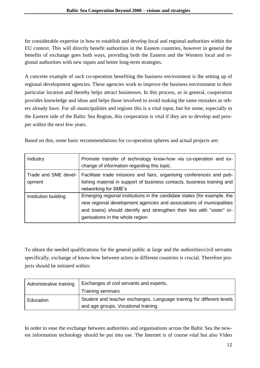fer considerable expertise in how to establish and develop local and regional authorities within the EU context. This will directly benefit authorities in the Eastern countries, however in general the benefits of exchange goes both ways, providing both the Eastern and the Western local and regional authorities with new inputs and better long-term strategies.

A concrete example of such co-operation benefiting the business environment is the setting up of regional development agencies. These agencies work to improve the business environment in their particular location and thereby helps attract businesses. In this process, as in general, cooperation provides knowledge and ideas and helps those involved to avoid making the same mistakes as others already have. For all municipalities and regions this is a vital input, but for some, especially in the Eastern side of the Baltic Sea Region, this cooperation is vital if they are to develop and prosper within the next few years.

Based on this, some basic recommendations for co-operation spheres and actual projects are:

| Industry                       | Promote transfer of technology know-how via co-operation and ex-<br>change of information regarding this topic.                                                                                                                                               |
|--------------------------------|---------------------------------------------------------------------------------------------------------------------------------------------------------------------------------------------------------------------------------------------------------------|
| Trade and SME devel-<br>opment | Facilitate trade missions and fairs, organising conferences and pub-<br>lishing material in support of business contacts, business training and<br>networking for SME's                                                                                       |
| Institution building           | Emerging regional institutions in the candidate states (for example, the<br>new regional development agencies and associations of municipalities<br>and towns) should identify and strengthen their ties with "sister" or-<br>ganisations in the whole region |

To obtain the needed qualifications for the general public at large and the authorities/civil servants specifically, exchange of know-how between actors in different countries is crucial. Therefore projects should be initiated within:

| Administrative training | Exchanges of civil servants and experts,                                                                     |
|-------------------------|--------------------------------------------------------------------------------------------------------------|
|                         | Training seminars                                                                                            |
| Education               | Student and teacher exchanges, Language training for different levels<br>and age groups, Vocational training |

In order to ease the exchange between authorities and organisations across the Baltic Sea the newest information technology should be put into use. The Internet is of course vital but also Video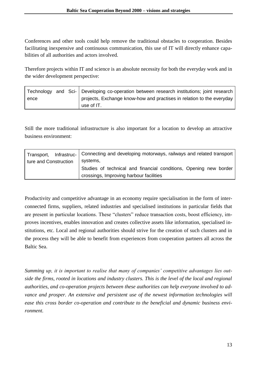Conferences and other tools could help remove the traditional obstacles to cooperation. Besides facilitating inexpensive and continuous communication, this use of IT will directly enhance capabilities of all authorities and actors involved.

Therefore projects within IT and science is an absolute necessity for both the everyday work and in the wider development perspective:

|      |  | Technology and Sci- Developing co-operation between research institutions; joint research |
|------|--|-------------------------------------------------------------------------------------------|
| ence |  | projects, Exchange know-how and practises in relation to the everyday                     |
|      |  | use of IT.                                                                                |

Still the more traditional infrastructure is also important for a location to develop an attractive business environment:

| Transport,            | Infrastruc-   Connecting and developing motorways, railways and related transport<br>systems, |
|-----------------------|-----------------------------------------------------------------------------------------------|
| ture and Construction |                                                                                               |
|                       | Studies of technical and financial conditions, Opening new border                             |
|                       | crossings, Improving harbour facilities                                                       |

Productivity and competitive advantage in an economy require specialisation in the form of interconnected firms, suppliers, related industries and specialised institutions in particular fields that are present in particular locations. These "clusters" reduce transaction costs, boost efficiency, improves incentives, enables innovation and creates collective assets like information, specialised institutions, etc. Local and regional authorities should strive for the creation of such clusters and in the process they will be able to benefit from experiences from cooperation partners all across the Baltic Sea.

*Summing up, it is important to realise that many of companies' competitive advantages lies outside the firms, rooted in locations and industry clusters. This is the level of the local and regional authorities, and co-operation projects between these authorities can help everyone involved to advance and prosper. An extensive and persistent use of the newest information technologies will ease this cross border co-operation and contribute to the beneficial and dynamic business environment.*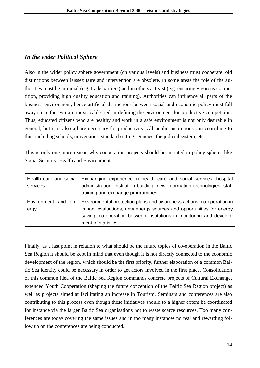#### *In the wider Political Sphere*

Also in the wider policy sphere government (on various levels) and business must cooperate; old distinctions between laissez faire and intervention are obsolete. In some areas the role of the authorities must be minimal (e.g. trade barriers) and in others activist (e.g. ensuring vigorous competition, providing high quality education and training). Authorities can influence all parts of the business environment, hence artificial distinctions between social and economic policy must fall away since the two are inextricable tied in defining the environment for productive competition. Thus, educated citizens who are healthy and work in a safe environment is not only desirable in general, but it is also a bare necessary for productivity. All public institutions can contribute to this, including schools, universities, standard setting agencies, the judicial system, etc.

This is only one more reason why cooperation projects should be initiated in policy spheres like Social Security, Health and Environment:

| Health care and social<br>services | Exchanging experience in health care and social services, hospital<br>administration, institution building, new information technologies, staff<br>training and exchange programmes                                                                            |
|------------------------------------|----------------------------------------------------------------------------------------------------------------------------------------------------------------------------------------------------------------------------------------------------------------|
| ergy                               | Environment and en- Environmental protection plans and awareness actions, co-operation in<br>impact evaluations, new energy sources and opportunities for energy<br>saving, co-operation between institutions in monitoring and develop-<br>ment of statistics |

Finally, as a last point in relation to what should be the future topics of co-operation in the Baltic Sea Region it should be kept in mind that even though it is not directly connected to the economic development of the region, which should be the first priority, further elaboration of a common Baltic Sea identity could be necessary in order to get actors involved in the first place. Consolidation of this common idea of the Baltic Sea Region commands concrete projects of Cultural Exchange, extended Youth Cooperation (shaping the future conception of the Baltic Sea Region project) as well as projects aimed at facilitating an increase in Tourism. Seminars and conferences are also contributing to this process even though these initiatives should to a higher extent be coordinated for instance via the larger Baltic Sea organisations not to waste scarce resources. Too many conferences are today covering the same issues and in too many instances no real and rewarding follow up on the conferences are being conducted.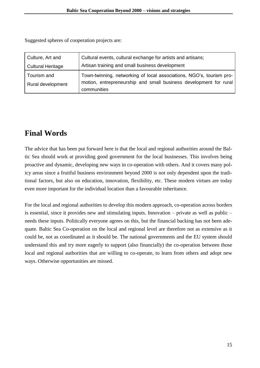Suggested spheres of cooperation projects are:

| Culture, Art and                 | Cultural events, cultural exchange for artists and artisans;                                                                              |
|----------------------------------|-------------------------------------------------------------------------------------------------------------------------------------------|
| <b>Cultural Heritage</b>         | Artisan training and small business development                                                                                           |
| Tourism and<br>Rural development | Town-twinning, networking of local associations, NGO's, tourism pro-<br>motion, entrepreneurship and small business development for rural |
|                                  | communities                                                                                                                               |

## **Final Words**

The advice that has been put forward here is that the local and regional authorities around the Baltic Sea should work at providing good government for the local businesses. This involves being proactive and dynamic, developing new ways in co-operation with others. And it covers many policy areas since a fruitful business environment beyond 2000 is not only dependent upon the traditional factors, but also on education, innovation, flexibility, etc. These modern virtues are today even more important for the individual location than a favourable inheritance.

For the local and regional authorities to develop this modern approach, co-operation across borders is essential, since it provides new and stimulating inputs. Innovation – private as well as public – needs these inputs. Politically everyone agrees on this, but the financial backing has not been adequate. Baltic Sea Co-operation on the local and regional level are therefore not as extensive as it could be, not as coordinated as it should be. The national governments and the EU system should understand this and try more eagerly to support (also financially) the co-operation between those local and regional authorities that are willing to co-operate, to learn from others and adopt new ways. Otherwise opportunities are missed.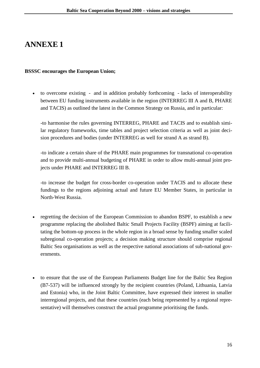## **ANNEXE 1**

#### **BSSSC encourages the European Union;**

 to overcome existing - and in addition probably forthcoming - lacks of interoperability between EU funding instruments available in the region (INTERREG III A and B, PHARE and TACIS) as outlined the latest in the Common Strategy on Russia, and in particular:

-to harmonise the rules governing INTERREG, PHARE and TACIS and to establish similar regulatory frameworks, time tables and project selection criteria as well as joint decision procedures and bodies (under INTERREG as well for strand A as strand B).

-to indicate a certain share of the PHARE main programmes for transnational co-operation and to provide multi-annual budgeting of PHARE in order to allow multi-annual joint projects under PHARE and INTERREG III B.

-to increase the budget for cross-border co-operation under TACIS and to allocate these fundings to the regions adjoining actual and future EU Member States, in particular in North-West Russia.

- regretting the decision of the European Commission to abandon BSPF, to establish a new programme replacing the abolished Baltic Small Projects Facility (BSPF) aiming at facilitating the bottom-up process in the whole region in a broad sense by funding smaller scaled subregional co-operation projects; a decision making structure should comprise regional Baltic Sea organisations as well as the respective national associations of sub-national governments.
- to ensure that the use of the European Parliaments Budget line for the Baltic Sea Region (B7-537) will be influenced strongly by the recipient countries (Poland, Lithuania, Latvia and Estonia) who, in the Joint Baltic Committee, have expressed their interest in smaller interregional projects, and that these countries (each being represented by a regional representative) will themselves construct the actual programme prioritising the funds.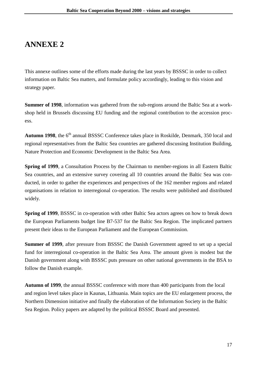## **ANNEXE 2**

This annexe outlines some of the efforts made during the last years by BSSSC in order to collect information on Baltic Sea matters, and formulate policy accordingly, leading to this vision and strategy paper.

**Summer of 1998**, information was gathered from the sub-regions around the Baltic Sea at a workshop held in Brussels discussing EU funding and the regional contribution to the accession process.

Autumn 1998, the 6<sup>th</sup> annual BSSSC Conference takes place in Roskilde, Denmark, 350 local and regional representatives from the Baltic Sea countries are gathered discussing Institution Building, Nature Protection and Economic Development in the Baltic Sea Area.

**Spring of 1999**, a Consultation Process by the Chairman to member-regions in all Eastern Baltic Sea countries, and an extensive survey covering all 10 countries around the Baltic Sea was conducted, in order to gather the experiences and perspectives of the 162 member regions and related organisations in relation to interregional co-operation. The results were published and distributed widely.

**Spring of 1999**, BSSSC in co-operation with other Baltic Sea actors agrees on how to break down the European Parliaments budget line B7-537 for the Baltic Sea Region. The implicated partners present their ideas to the European Parliament and the European Commission.

**Summer of 1999**, after pressure from BSSSC the Danish Government agreed to set up a special fund for interregional co-operation in the Baltic Sea Area. The amount given is modest but the Danish government along with BSSSC puts pressure on other national governments in the BSA to follow the Danish example.

**Autumn of 1999**, the annual BSSSC conference with more than 400 participants from the local and region level takes place in Kaunas, Lithuania. Main topics are the EU enlargement process, the Northern Dimension initiative and finally the elaboration of the Information Society in the Baltic Sea Region. Policy papers are adapted by the political BSSSC Board and presented.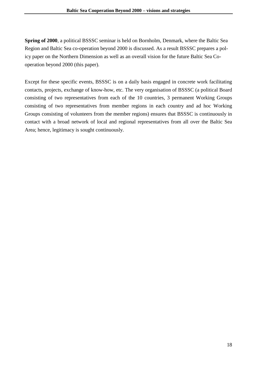**Spring of 2000**, a political BSSSC seminar is held on Bornholm, Denmark, where the Baltic Sea Region and Baltic Sea co-operation beyond 2000 is discussed. As a result BSSSC prepares a policy paper on the Northern Dimension as well as an overall vision for the future Baltic Sea Cooperation beyond 2000 (this paper).

Except for these specific events, BSSSC is on a daily basis engaged in concrete work facilitating contacts, projects, exchange of know-how, etc. The very organisation of BSSSC (a political Board consisting of two representatives from each of the 10 countries, 3 permanent Working Groups consisting of two representatives from member regions in each country and ad hoc Working Groups consisting of volunteers from the member regions) ensures that BSSSC is continuously in contact with a broad network of local and regional representatives from all over the Baltic Sea Area; hence, legitimacy is sought continuously.